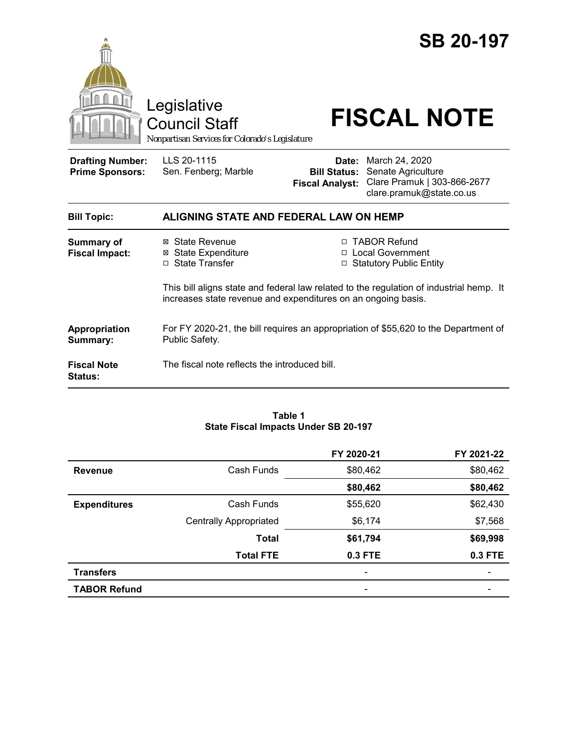



Council Staff

# Legislative<br>Council Staff **FISCAL NOTE**

*Nonpartisan Services for Colorado's Legislature*

**Drafting Number: Prime Sponsors:**

LLS 20-1115 Sen. Fenberg; Marble

**Date:** March 24, 2020 **Bill Status:** Senate Agriculture **Fiscal Analyst:** Clare Pramuk | 303-866-2677 clare.pramuk@state.co.us

| <b>Bill Topic:</b>                         | ALIGNING STATE AND FEDERAL LAW ON HEMP                                                                                                                   |                                                                   |  |  |
|--------------------------------------------|----------------------------------------------------------------------------------------------------------------------------------------------------------|-------------------------------------------------------------------|--|--|
| <b>Summary of</b><br><b>Fiscal Impact:</b> | ⊠ State Revenue<br><b>⊠ State Expenditure</b><br>□ State Transfer                                                                                        | □ TABOR Refund<br>□ Local Government<br>□ Statutory Public Entity |  |  |
|                                            | This bill aligns state and federal law related to the regulation of industrial hemp. It<br>increases state revenue and expenditures on an ongoing basis. |                                                                   |  |  |
| Appropriation<br>Summary:                  | For FY 2020-21, the bill requires an appropriation of \$55,620 to the Department of<br>Public Safety.                                                    |                                                                   |  |  |
| <b>Fiscal Note</b><br>Status:              | The fiscal note reflects the introduced bill.                                                                                                            |                                                                   |  |  |

#### **Table 1 State Fiscal Impacts Under SB 20-197**

|                     |                               | FY 2020-21               | FY 2021-22 |
|---------------------|-------------------------------|--------------------------|------------|
| <b>Revenue</b>      | Cash Funds                    | \$80,462                 | \$80,462   |
|                     |                               | \$80,462                 | \$80,462   |
| <b>Expenditures</b> | Cash Funds                    | \$55,620                 | \$62,430   |
|                     | <b>Centrally Appropriated</b> | \$6,174                  | \$7,568    |
|                     | <b>Total</b>                  | \$61,794                 | \$69,998   |
|                     | <b>Total FTE</b>              | 0.3 FTE                  | 0.3 FTE    |
| <b>Transfers</b>    |                               | $\overline{\phantom{a}}$ |            |
| <b>TABOR Refund</b> |                               | -                        |            |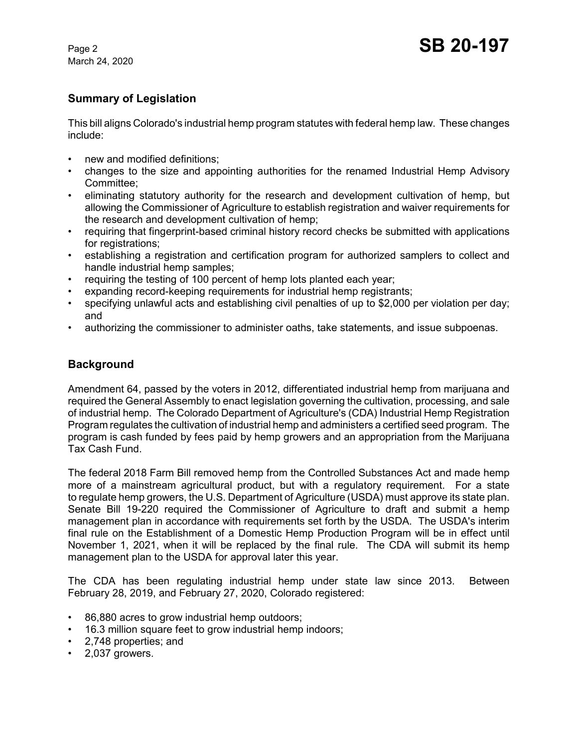March 24, 2020

# **Summary of Legislation**

This bill aligns Colorado's industrial hemp program statutes with federal hemp law. These changes include:

- new and modified definitions;
- changes to the size and appointing authorities for the renamed Industrial Hemp Advisory Committee;
- eliminating statutory authority for the research and development cultivation of hemp, but allowing the Commissioner of Agriculture to establish registration and waiver requirements for the research and development cultivation of hemp;
- requiring that fingerprint-based criminal history record checks be submitted with applications for registrations;
- establishing a registration and certification program for authorized samplers to collect and handle industrial hemp samples;
- requiring the testing of 100 percent of hemp lots planted each year;
- expanding record-keeping requirements for industrial hemp registrants;
- specifying unlawful acts and establishing civil penalties of up to \$2,000 per violation per day; and
- authorizing the commissioner to administer oaths, take statements, and issue subpoenas.

# **Background**

Amendment 64, passed by the voters in 2012, differentiated industrial hemp from marijuana and required the General Assembly to enact legislation governing the cultivation, processing, and sale of industrial hemp. The Colorado Department of Agriculture's (CDA) Industrial Hemp Registration Program regulates the cultivation of industrial hemp and administers a certified seed program. The program is cash funded by fees paid by hemp growers and an appropriation from the Marijuana Tax Cash Fund.

The federal 2018 Farm Bill removed hemp from the Controlled Substances Act and made hemp more of a mainstream agricultural product, but with a regulatory requirement. For a state to regulate hemp growers, the U.S. Department of Agriculture (USDA) must approve its state plan. Senate Bill 19-220 required the Commissioner of Agriculture to draft and submit a hemp management plan in accordance with requirements set forth by the USDA. The USDA's interim final rule on the Establishment of a Domestic Hemp Production Program will be in effect until November 1, 2021, when it will be replaced by the final rule. The CDA will submit its hemp management plan to the USDA for approval later this year.

The CDA has been regulating industrial hemp under state law since 2013. Between February 28, 2019, and February 27, 2020, Colorado registered:

- 86,880 acres to grow industrial hemp outdoors;
- 16.3 million square feet to grow industrial hemp indoors;
- 2,748 properties; and
- 2,037 growers.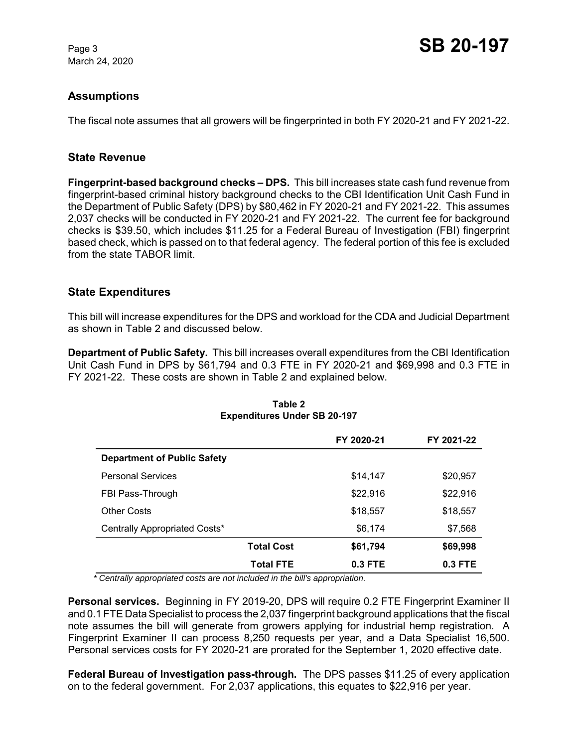March 24, 2020

# **Assumptions**

The fiscal note assumes that all growers will be fingerprinted in both FY 2020-21 and FY 2021-22.

#### **State Revenue**

**Fingerprint-based background checks – DPS.** This bill increases state cash fund revenue from fingerprint-based criminal history background checks to the CBI Identification Unit Cash Fund in the Department of Public Safety (DPS) by \$80,462 in FY 2020-21 and FY 2021-22. This assumes 2,037 checks will be conducted in FY 2020-21 and FY 2021-22. The current fee for background checks is \$39.50, which includes \$11.25 for a Federal Bureau of Investigation (FBI) fingerprint based check, which is passed on to that federal agency. The federal portion of this fee is excluded from the state TABOR limit.

## **State Expenditures**

This bill will increase expenditures for the DPS and workload for the CDA and Judicial Department as shown in Table 2 and discussed below.

**Department of Public Safety.** This bill increases overall expenditures from the CBI Identification Unit Cash Fund in DPS by \$61,794 and 0.3 FTE in FY 2020-21 and \$69,998 and 0.3 FTE in FY 2021-22. These costs are shown in Table 2 and explained below.

|                                    |                   | FY 2020-21 | FY 2021-22 |  |
|------------------------------------|-------------------|------------|------------|--|
| <b>Department of Public Safety</b> |                   |            |            |  |
| <b>Personal Services</b>           |                   | \$14,147   | \$20,957   |  |
| FBI Pass-Through                   |                   | \$22,916   | \$22,916   |  |
| <b>Other Costs</b>                 |                   | \$18,557   | \$18,557   |  |
| Centrally Appropriated Costs*      |                   | \$6,174    | \$7,568    |  |
|                                    | <b>Total Cost</b> | \$61,794   | \$69,998   |  |
|                                    | <b>Total FTE</b>  | $0.3$ FTE  | 0.3 FTE    |  |

#### **Table 2 Expenditures Under SB 20-197**

 *\* Centrally appropriated costs are not included in the bill's appropriation.*

**Personal services.** Beginning in FY 2019-20, DPS will require 0.2 FTE Fingerprint Examiner II and 0.1 FTE Data Specialist to process the 2,037 fingerprint background applications that the fiscal note assumes the bill will generate from growers applying for industrial hemp registration. A Fingerprint Examiner II can process 8,250 requests per year, and a Data Specialist 16,500. Personal services costs for FY 2020-21 are prorated for the September 1, 2020 effective date.

**Federal Bureau of Investigation pass-through.** The DPS passes \$11.25 of every application on to the federal government. For 2,037 applications, this equates to \$22,916 per year.